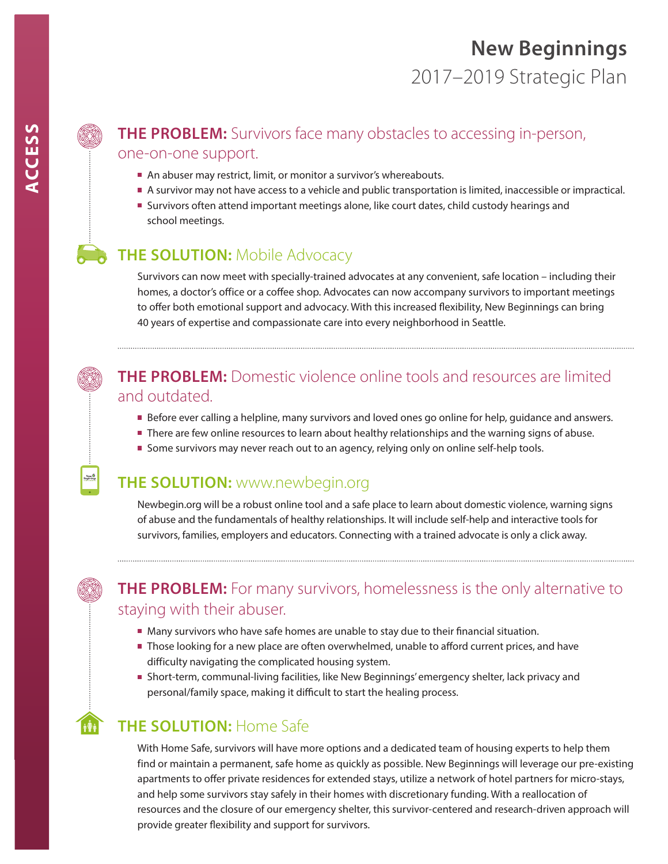#### **THE PROBLEM:** Survivors face many obstacles to accessing in-person, one-on-one support.

- An abuser may restrict, limit, or monitor a survivor's whereabouts.
- A survivor may not have access to a vehicle and public transportation is limited, inaccessible or impractical.
- **Survivors often attend important meetings alone, like court dates, child custody hearings and** school meetings.

#### **THE SOLUTION: Mobile Advocacy**

Survivors can now meet with specially-trained advocates at any convenient, safe location – including their homes, a doctor's office or a coffee shop. Advocates can now accompany survivors to important meetings to offer both emotional support and advocacy. With this increased flexibility, New Beginnings can bring 40 years of expertise and compassionate care into every neighborhood in Seattle.

#### **THE PROBLEM:** Domestic violence online tools and resources are limited and outdated.

- **Before ever calling a helpline, many survivors and loved ones go online for help, guidance and answers.**
- There are few online resources to learn about healthy relationships and the warning signs of abuse.
- Some survivors may never reach out to an agency, relying only on online self-help tools.

#### **THE SOLUTION:** www.newbegin.org

Newbegin.org will be a robust online tool and a safe place to learn about domestic violence, warning signs of abuse and the fundamentals of healthy relationships. It will include self-help and interactive tools for survivors, families, employers and educators. Connecting with a trained advocate is only a click away.



#### **THE PROBLEM:** For many survivors, homelessness is the only alternative to staying with their abuser.

- Many survivors who have safe homes are unable to stay due to their financial situation.
- **Those looking for a new place are often overwhelmed, unable to afford current prices, and have** difficulty navigating the complicated housing system.
- Short-term, communal-living facilities, like New Beginnings' emergency shelter, lack privacy and personal/family space, making it difficult to start the healing process.

### **THE SOLUTION:** Home Safe

With Home Safe, survivors will have more options and a dedicated team of housing experts to help them find or maintain a permanent, safe home as quickly as possible. New Beginnings will leverage our pre-existing apartments to offer private residences for extended stays, utilize a network of hotel partners for micro-stays, and help some survivors stay safely in their homes with discretionary funding. With a reallocation of resources and the closure of our emergency shelter, this survivor-centered and research-driven approach will provide greater flexibility and support for survivors.